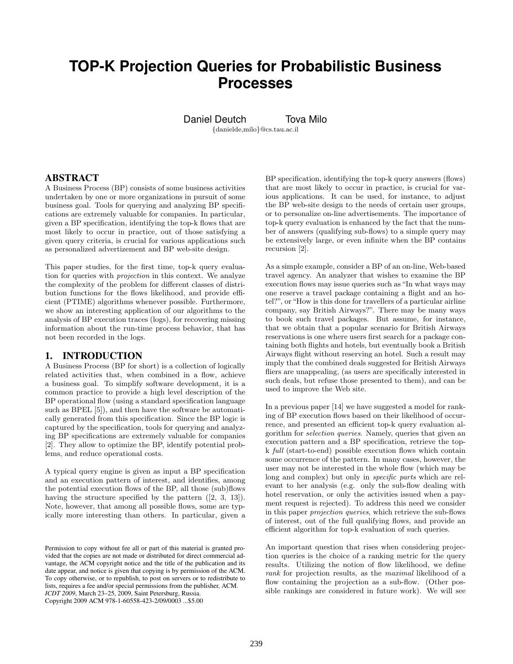# **TOP-K Projection Queries for Probabilistic Business Processes**

Daniel Deutch Tova Milo

{danielde,milo}@cs.tau.ac.il

## ABSTRACT

A Business Process (BP) consists of some business activities undertaken by one or more organizations in pursuit of some business goal. Tools for querying and analyzing BP specifications are extremely valuable for companies. In particular, given a BP specification, identifying the top-k flows that are most likely to occur in practice, out of those satisfying a given query criteria, is crucial for various applications such as personalized advertizement and BP web-site design.

This paper studies, for the first time, top-k query evaluation for queries with projection in this context. We analyze the complexity of the problem for different classes of distribution functions for the flows likelihood, and provide efficient (PTIME) algorithms whenever possible. Furthermore, we show an interesting application of our algorithms to the analysis of BP execution traces (logs), for recovering missing information about the run-time process behavior, that has not been recorded in the logs.

## 1. INTRODUCTION

A Business Process (BP for short) is a collection of logically related activities that, when combined in a flow, achieve a business goal. To simplify software development, it is a common practice to provide a high level description of the BP operational flow (using a standard specification language such as BPEL [5]), and then have the software be automatically generated from this specification. Since the BP logic is captured by the specification, tools for querying and analyzing BP specifications are extremely valuable for companies [2]. They allow to optimize the BP, identify potential problems, and reduce operational costs.

A typical query engine is given as input a BP specification and an execution pattern of interest, and identifies, among the potential execution flows of the BP, all those (sub)flows having the structure specified by the pattern  $([2, 3, 13])$ . Note, however, that among all possible flows, some are typically more interesting than others. In particular, given a

BP specification, identifying the top-k query answers (flows) that are most likely to occur in practice, is crucial for various applications. It can be used, for instance, to adjust the BP web-site design to the needs of certain user groups, or to personalize on-line advertisements. The importance of top-k query evaluation is enhanced by the fact that the number of answers (qualifying sub-flows) to a simple query may be extensively large, or even infinite when the BP contains recursion [2].

As a simple example, consider a BP of an on-line, Web-based travel agency. An analyzer that wishes to examine the BP execution flows may issue queries such as "In what ways may one reserve a travel package containing a flight and an hotel?", or "How is this done for travellers of a particular airline company, say British Airways?". There may be many ways to book such travel packages. But assume, for instance, that we obtain that a popular scenario for British Airways reservations is one where users first search for a package containing both flights and hotels, but eventually book a British Airways flight without reserving an hotel. Such a result may imply that the combined deals suggested for British Airways fliers are unappealing, (as users are specifically interested in such deals, but refuse those presented to them), and can be used to improve the Web site.

In a previous paper [14] we have suggested a model for ranking of BP execution flows based on their likelihood of occurrence, and presented an efficient top-k query evaluation algorithm for selection queries. Namely, queries that given an execution pattern and a BP specification, retrieve the topk full (start-to-end) possible execution flows which contain some occurrence of the pattern. In many cases, however, the user may not be interested in the whole flow (which may be long and complex) but only in *specific parts* which are relevant to her analysis (e.g. only the sub-flow dealing with hotel reservation, or only the activities issued when a payment request is rejected). To address this need we consider in this paper projection queries, which retrieve the sub-flows of interest, out of the full qualifying flows, and provide an efficient algorithm for top-k evaluation of such queries.

An important question that rises when considering projection queries is the choice of a ranking metric for the query results. Utilizing the notion of flow likelihood, we define rank for projection results, as the maximal likelihood of a flow containing the projection as a sub-flow. (Other possible rankings are considered in future work). We will see

Permission to copy without fee all or part of this material is granted provided that the copies are not made or distributed for direct commercial advantage, the ACM copyright notice and the title of the publication and its date appear, and notice is given that copying is by permission of the ACM. To copy otherwise, or to republish, to post on servers or to redistribute to lists, requires a fee and/or special permissions from the publisher, ACM. *ICDT 2009*, March 23–25, 2009, Saint Petersburg, Russia. Copyright 2009 ACM 978-1-60558-423-2/09/0003 ...\$5.00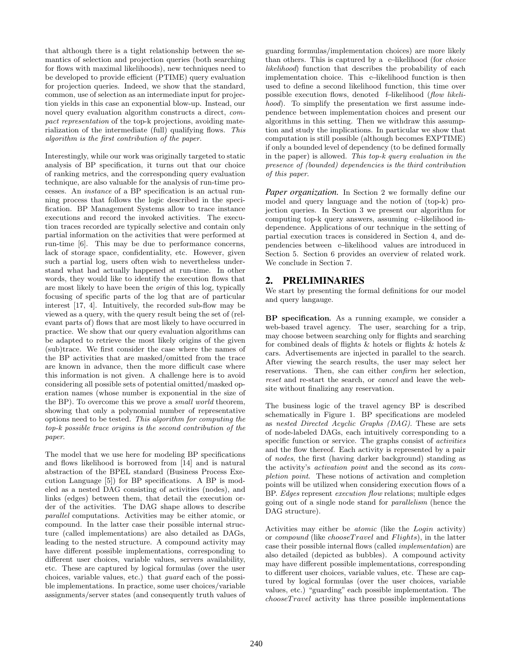that although there is a tight relationship between the semantics of selection and projection queries (both searching for flows with maximal likelihoods), new techniques need to be developed to provide efficient (PTIME) query evaluation for projection queries. Indeed, we show that the standard, common, use of selection as an intermediate input for projection yields in this case an exponential blow-up. Instead, our novel query evaluation algorithm constructs a direct, compact representation of the top-k projections, avoiding materialization of the intermediate (full) qualifying flows. This algorithm is the first contribution of the paper.

Interestingly, while our work was originally targeted to static analysis of BP specification, it turns out that our choice of ranking metrics, and the corresponding query evaluation technique, are also valuable for the analysis of run-time processes. An instance of a BP specification is an actual running process that follows the logic described in the specification. BP Management Systems allow to trace instance executions and record the invoked activities. The execution traces recorded are typically selective and contain only partial information on the activities that were performed at run-time [6]. This may be due to performance concerns, lack of storage space, confidentiality, etc. However, given such a partial log, users often wish to nevertheless understand what had actually happened at run-time. In other words, they would like to identify the execution flows that are most likely to have been the origin of this log, typically focusing of specific parts of the log that are of particular interest [17, 4]. Intuitively, the recorded sub-flow may be viewed as a query, with the query result being the set of (relevant parts of) flows that are most likely to have occurred in practice. We show that our query evaluation algorithms can be adapted to retrieve the most likely origins of the given (sub)trace. We first consider the case where the names of the BP activities that are masked/omitted from the trace are known in advance, then the more difficult case where this information is not given. A challenge here is to avoid considering all possible sets of potential omitted/masked operation names (whose number is exponential in the size of the BP). To overcome this we prove a small world theorem, showing that only a polynomial number of representative options need to be tested. This algorithm for computing the top-k possible trace origins is the second contribution of the paper.

The model that we use here for modeling BP specifications and flows likelihood is borrowed from [14] and is natural abstraction of the BPEL standard (Business Process Execution Language [5]) for BP specifications. A BP is modeled as a nested DAG consisting of activities (nodes), and links (edges) between them, that detail the execution order of the activities. The DAG shape allows to describe parallel computations. Activities may be either atomic, or compound. In the latter case their possible internal structure (called implementations) are also detailed as DAGs, leading to the nested structure. A compound activity may have different possible implementations, corresponding to different user choices, variable values, servers availability, etc. These are captured by logical formulas (over the user choices, variable values, etc.) that guard each of the possible implementations. In practice, some user choices/variable assignments/server states (and consequently truth values of guarding formulas/implementation choices) are more likely than others. This is captured by a c−likelihood (for choice likelihood) function that describes the probability of each implementation choice. This c−likelihood function is then used to define a second likelihood function, this time over possible execution flows, denoted f−likelihood (flow likelihood). To simplify the presentation we first assume independence between implementation choices and present our algorithms in this setting. Then we withdraw this assumption and study the implications. In particular we show that computation is still possible (although becomes EXPTIME) if only a bounded level of dependency (to be defined formally in the paper) is allowed. This top-k query evaluation in the presence of (bounded) dependencies is the third contribution of this paper.

*Paper organization.* In Section 2 we formally define our model and query language and the notion of (top-k) projection queries. In Section 3 we present our algorithm for computing top-k query answers, assuming c−likelihood independence. Applications of our technique in the setting of partial execution traces is considered in Section 4, and dependencies between c−likelihood values are introduced in Section 5. Section 6 provides an overview of related work. We conclude in Section 7.

# 2. PRELIMINARIES

We start by presenting the formal definitions for our model and query langauge.

BP specification*.* As a running example, we consider a web-based travel agency. The user, searching for a trip, may choose between searching only for flights and searching for combined deals of flights & hotels or flights & hotels & cars. Advertisements are injected in parallel to the search. After viewing the search results, the user may select her reservations. Then, she can either confirm her selection, reset and re-start the search, or cancel and leave the website without finalizing any reservation.

The business logic of the travel agency BP is described schematically in Figure 1. BP specifications are modeled as nested Directed Acyclic Graphs (DAG). These are sets of node-labeled DAGs, each intuitively corresponding to a specific function or service. The graphs consist of activities and the flow thereof. Each activity is represented by a pair of nodes, the first (having darker background) standing as the activity's activation point and the second as its completion point. These notions of activation and completion points will be utilized when considering execution flows of a BP. Edges represent execution flow relations; multiple edges going out of a single node stand for parallelism (hence the DAG structure).

Activities may either be atomic (like the Login activity) or *compound* (like *chooseTravel* and *Flights*), in the latter case their possible internal flows (called implementation) are also detailed (depicted as bubbles). A compound activity may have different possible implementations, corresponding to different user choices, variable values, etc. These are captured by logical formulas (over the user choices, variable values, etc.) "guarding" each possible implementation. The  $choose Travel$  activity has three possible implementations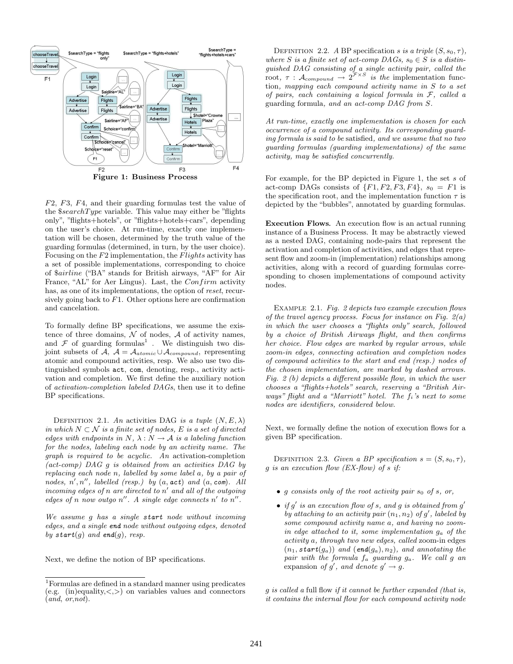

F2, F3, F4, and their guarding formulas test the value of the  $$searchType$  variable. This value may either be "flights" only", "flights+hotels", or "flights+hotels+cars", depending on the user's choice. At run-time, exactly one implementation will be chosen, determined by the truth value of the guarding formulas (determined, in turn, by the user choice). Focusing on the  $F2$  implementation, the  $F\$ ights activity has a set of possible implementations, corresponding to choice of \$airline ("BA" stands for British airways, "AF" for Air France, "AL" for Aer Lingus). Last, the Confirm activity has, as one of its implementations, the option of reset, recursively going back to  $F1$ . Other options here are confirmation and cancelation.

To formally define BP specifications, we assume the existence of three domains,  $\mathcal N$  of nodes,  $\mathcal A$  of activity names, and  $\mathcal F$  of guarding formulas<sup>1</sup>. We distinguish two disjoint subsets of A,  $A = A_{atomic} \cup A_{compound}$ , representing atomic and compound activities, resp. We also use two distinguished symbols act, com, denoting, resp., activity activation and completion. We first define the auxiliary notion of activation-completion labeled DAGs, then use it to define BP specifications.

DEFINITION 2.1. An activities DAG is a tuple  $(N, E, \lambda)$ in which  $N \subset \mathcal{N}$  is a finite set of nodes, E is a set of directed edges with endpoints in  $N$ ,  $\lambda$  :  $N \rightarrow A$  is a labeling function for the nodes, labeling each node by an activity name. The graph is required to be acyclic. An activation-completion (act-comp) DAG g is obtained from an activities DAG by replacing each node n, labelled by some label a, by a pair of nodes,  $n', n'',$  labelled (resp.) by  $(a, \texttt{act})$  and  $(a, \texttt{com})$ . All incoming edges of  $n$  are directed to  $n'$  and all of the outgoing edges of n now outgo  $n''$ . A single edge connects  $n'$  to  $n''$ .

We assume g has a single start node without incoming edges, and a single end node without outgoing edges, denoted by start(g) and end(g), resp.

Next, we define the notion of BP specifications.

DEFINITION 2.2. A BP specification s is a triple  $(S, s_0, \tau)$ , where S is a finite set of act-comp DAGs,  $s_0 \in S$  is a distinguished DAG consisting of a single activity pair, called the root,  $\tau$  :  $\mathcal{A}_{compound} \rightarrow 2^{\mathcal{F} \times S}$  is the implementation function, mapping each compound activity name in S to a set of pairs, each containing a logical formula in  $\mathcal{F}$ , called a guarding formula, and an act-comp DAG from S.

At run-time, exactly one implementation is chosen for each occurrence of a compound activity. Its corresponding guarding formula is said to be satisfied, and we assume that no two guarding formulas (guarding implementations) of the same activity, may be satisfied concurrently.

For example, for the BP depicted in Figure 1, the set s of act-comp DAGs consists of  $\{F1, F2, F3, F4\}$ ,  $s_0 = F1$  is the specification root, and the implementation function  $\tau$  is depicted by the "bubbles", annotated by guarding formulas.

Execution Flows. An execution flow is an actual running instance of a Business Process. It may be abstractly viewed as a nested DAG, containing node-pairs that represent the activation and completion of activities, and edges that represent flow and zoom-in (implementation) relationships among activities, along with a record of guarding formulas corresponding to chosen implementations of compound activity nodes.

Example 2.1. Fig. 2 depicts two example execution flows of the travel agency process. Focus for instance on Fig.  $2(a)$ in which the user chooses a "flights only" search, followed by a choice of British Airways flight, and then confirms her choice. Flow edges are marked by regular arrows, while zoom-in edges, connecting activation and completion nodes of compound activities to the start and end (resp.) nodes of the chosen implementation, are marked by dashed arrows. Fig. 2 (b) depicts a different possible flow, in which the user chooses a "flights+hotels" search, reserving a "British Airways" flight and a "Marriott" hotel. The  $f_i$ 's next to some nodes are identifiers, considered below.

Next, we formally define the notion of execution flows for a given BP specification.

DEFINITION 2.3. Given a BP specification  $s = (S, s_0, \tau)$ , g is an execution flow  $(EX-flow)$  of s if:

- q consists only of the root activity pair  $s_0$  of s, or,
- if  $g'$  is an execution flow of s, and g is obtained from  $g'$ by attaching to an activity pair  $(n_1, n_2)$  of g', labeled by some compound activity name a, and having no zoomin edge attached to it, some implementation  $q_a$  of the activity a, through two new edges, called zoom-in edges  $(n_1, start(g_a))$  and  $(end(g_a), n_2)$ , and annotating the pair with the formula  $f_a$  guarding  $g_a$ . We call  $g$  an expansion of g', and denote  $g' \rightarrow g$ .

 $g$  is called a full flow if it cannot be further expanded (that is, it contains the internal flow for each compound activity node

<sup>1</sup>Formulas are defined in a standard manner using predicates (e.g.  $(in)$ equality,  $\lt,$   $>$ ) on variables values and connectors  $(\overline{and}, \overline{or}, \overline{not}).$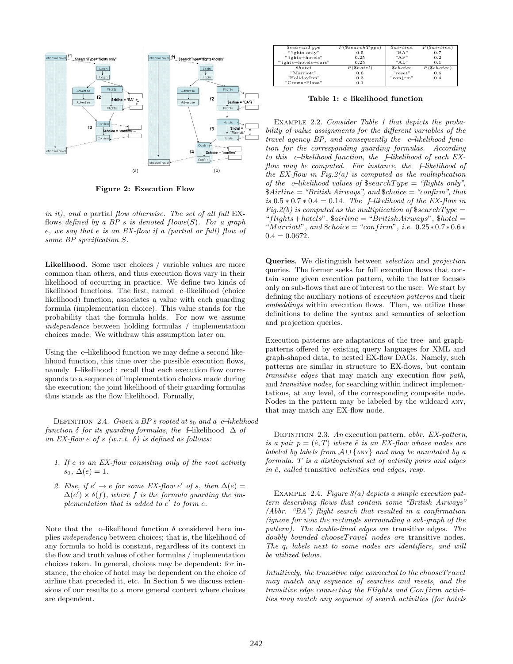

Figure 2: Execution Flow

in it), and a partial flow otherwise. The set of all full EXflows defined by a BP s is denoted  $flows(S)$ . For a graph e, we say that e is an EX-flow if a (partial or full) flow of some BP specification S.

Likelihood. Some user choices / variable values are more common than others, and thus execution flows vary in their likelihood of occurring in practice. We define two kinds of likelihood functions. The first, named c−likelihood (choice likelihood) function, associates a value with each guarding formula (implementation choice). This value stands for the probability that the formula holds. For now we assume independence between holding formulas / implementation choices made. We withdraw this assumption later on.

Using the c−likelihood function we may define a second likelihood function, this time over the possible execution flows, namely f–likelihood : recall that each execution flow corresponds to a sequence of implementation choices made during the execution; the joint likelihood of their guarding formulas thus stands as the flow likelihood. Formally,

DEFINITION 2.4. Given a BP s rooted at  $s_0$  and a c−likelihood function  $\delta$  for its quarding formulas, the f–likelihood  $\Delta$  of an EX-flow e of s  $(w.r.t. \delta)$  is defined as follows:

- 1. If e is an EX-flow consisting only of the root activity  $s_0, \Delta(e) = 1.$
- 2. Else, if  $e' \rightarrow e$  for some EX-flow e' of s, then  $\Delta(e) =$  $\Delta(e') \times \delta(f)$ , where f is the formula guarding the implementation that is added to  $e'$  to form  $e$ .

Note that the c−likelihood function  $\delta$  considered here implies independency between choices; that is, the likelihood of any formula to hold is constant, regardless of its context in the flow and truth values of other formulas / implementation choices taken. In general, choices may be dependent: for instance, the choice of hotel may be dependent on the choice of airline that preceded it, etc. In Section 5 we discuss extensions of our results to a more general context where choices are dependent.

| \$searchType         | $P$ (\$searchType) | <i>Sairline</i>              | $P(\$airline)$ |
|----------------------|--------------------|------------------------------|----------------|
| "'ights only"        | 0.5                | "BA"                         | 0.7            |
| "'ights+hotels"      | 0.25               | $"$ A $F"$                   | 0.2            |
| "'ights+hotels+cars" | 0.25               | "AT."                        | 0.1            |
| <i><b>Shotel</b></i> | $P(\$ hotel)$      | <i><u><b>Schoice</b></u></i> | $P$ (\$choice) |
| "Marriott"           | 0.6                | "reset"                      | 0.6            |
| "HolidayInn"         | 0.3                | "con rm"                     | 0.4            |
| "CrownePlaza"        | 0.1                |                              |                |

Table 1: c−likelihood function

EXAMPLE 2.2. Consider Table 1 that depicts the probability of value assignments for the different variables of the travel agency BP, and consequently the c−likelihood function for the corresponding guarding formulas. According to this c−likelihood function, the f−likelihood of each EXflow may be computed. For instance, the f−likelihood of the  $EX$ -flow in Fig.2(a) is computed as the multiplication of the c−likelihood values of  $\$searchType = "flights only",$  $$Airline = "British Airways", and $choice = "confirm", that$ is  $0.5 * 0.7 * 0.4 = 0.14$ . The f-likelihood of the EX-flow in  $Fig.2(b)$  is computed as the multiplication of  $\$searchType =$ "flights+hotels",  $\text{Sairline} = \text{``BritishAirways''}, \text{\$ hotel} =$ "Marriott", and  $\text{\textsterling choice} = \text{\textsterling confirm}}$ ", i.e.  $0.25 * 0.7 * 0.6 *$  $0.4 = 0.0672$ .

Queries*.* We distinguish between selection and projection queries. The former seeks for full execution flows that contain some given execution pattern, while the latter focuses only on sub-flows that are of interest to the user. We start by defining the auxiliary notions of execution patterns and their embeddings within execution flows. Then, we utilize these definitions to define the syntax and semantics of selection and projection queries.

Execution patterns are adaptations of the tree- and graphpatterns offered by existing query languages for XML and graph-shaped data, to nested EX-flow DAGs. Namely, such patterns are similar in structure to EX-flows, but contain transitive edges that may match any execution flow path, and transitive nodes, for searching within indirect implementations, at any level, of the corresponding composite node. Nodes in the pattern may be labeled by the wildcard any, that may match any EX-flow node.

DEFINITION 2.3. An execution pattern, abbr. EX-pattern, is a pair  $p = (e, T)$  where  $\hat{e}$  is an EX-flow whose nodes are labeled by labels from  $A \cup \{ANY\}$  and may be annotated by a formula. T is a distinguished set of activity pairs and edges in  $\hat{e}$ , called transitive activities and edges, resp.

EXAMPLE 2.4. Figure  $3(a)$  depicts a simple execution pattern describing flows that contain some "British Airways" (Abbr. "BA") flight search that resulted in a confirmation (ignore for now the rectangle surrounding a sub-graph of the pattern). The double-lined edges are transitive edges. The doubly bounded chooseTravel nodes are transitive nodes. The  $q_i$  labels next to some nodes are identifiers, and will be utilized below.

Intuitively, the transitive edge connected to the choose  $Travel$ may match any sequence of searches and resets, and the transitive edge connecting the Flights and Confirm activities may match any sequence of search activities (for hotels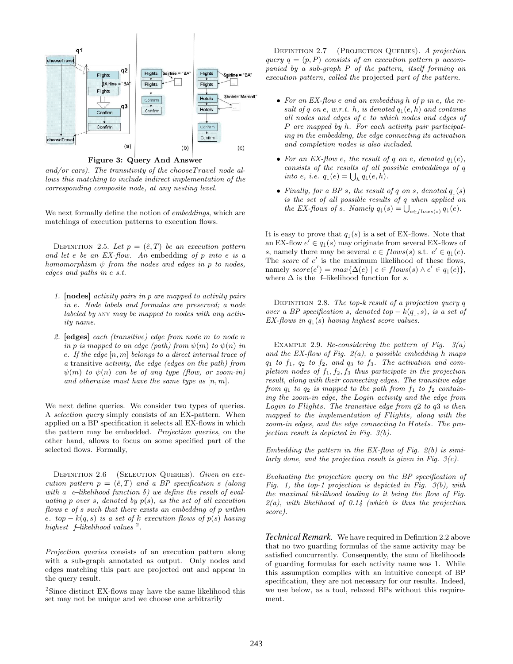

Figure 3: Query And Answer

and/or cars). The transitivity of the choose  $Travel$  node allows this matching to include indirect implementation of the corresponding composite node, at any nesting level.

We next formally define the notion of *embeddings*, which are matchings of execution patterns to execution flows.

DEFINITION 2.5. Let  $p = (\hat{e}, T)$  be an execution pattern and let e be an EX-flow. An embedding of p into e is a homomorphism  $\psi$  from the nodes and edges in p to nodes, edges and paths in e s.t.

- 1. [nodes] activity pairs in p are mapped to activity pairs in e. Node labels and formulas are preserved; a node labeled by any may be mapped to nodes with any activity name.
- 2. [edges] each (transitive) edge from node m to node n in p is mapped to an edge (path) from  $\psi(m)$  to  $\psi(n)$  in e. If the edge  $[n, m]$  belongs to a direct internal trace of a transitive activity, the edge (edges on the path) from  $\psi(m)$  to  $\psi(n)$  can be of any type (flow, or zoom-in) and otherwise must have the same type as  $[n, m]$ .

We next define queries. We consider two types of queries. A selection query simply consists of an EX-pattern. When applied on a BP specification it selects all EX-flows in which the pattern may be embedded. Projection queries, on the other hand, allows to focus on some specified part of the selected flows. Formally,

DEFINITION 2.6 (SELECTION QUERIES). Given an execution pattern  $p = (e, T)$  and a BP specification s (along with a c−likelihood function  $\delta$ ) we define the result of evaluating p over s, denoted by  $p(s)$ , as the set of all execution flows e of s such that there exists an embedding of p within e. top  $-k(q, s)$  is a set of k execution flows of  $p(s)$  having highest  $f$ −likelihood values<sup>2</sup>.

Projection queries consists of an execution pattern along with a sub-graph annotated as output. Only nodes and edges matching this part are projected out and appear in the query result.

DEFINITION 2.7 (PROJECTION QUERIES). A projection query  $q = (p, P)$  consists of an execution pattern p accompanied by a sub-graph P of the pattern, itself forming an execution pattern, called the projected part of the pattern.

- For an EX-flow e and an embedding h of p in e, the result of q on e, w.r.t. h, is denoted  $q_{\perp}(e, h)$  and contains all nodes and edges of e to which nodes and edges of P are mapped by h. For each activity pair participating in the embedding, the edge connecting its activation and completion nodes is also included.
- For an EX-flow e, the result of q on e, denoted  $q_{\perp}(e)$ , consists of the results of all possible embeddings of q into e, i.e.  $q_{\downarrow}(e) = \bigcup_h q_{\downarrow}(e, h)$ .
- Finally, for a BP s, the result of q on s, denoted  $q_{\perp}(s)$ is the set of all possible results of q when applied on the EX-flows of s. Namely  $q_{\downarrow}(s) = \bigcup_{e \in flows(s)} q_{\downarrow}(e)$ .

It is easy to prove that  $q_{\perp}(s)$  is a set of EX-flows. Note that an EX-flow  $e' \in q_{\downarrow}(s)$  may originate from several EX-flows of s, namely there may be several  $e \in flows(s)$  s.t.  $e' \in q_1(e)$ . The score of  $e'$  is the maximum likelihood of these flows, namely  $score(e') = max\{\Delta(e) | e \in flows(s) \land e' \in q_{\perp}(e)\},\$ where  $\Delta$  is the  $% \Delta$  f–likelihood function for  $s.$ 

DEFINITION 2.8. The top-k result of a projection query  $q$ over a BP specification s, denoted top  $-k(q_1, s)$ , is a set of EX-flows in  $q_{\perp}(s)$  having highest score values.

EXAMPLE 2.9. Re-considering the pattern of Fig.  $3(a)$ and the EX-flow of Fig.  $2(a)$ , a possible embedding h maps  $q_1$  to  $f_1$ ,  $q_2$  to  $f_2$ , and  $q_3$  to  $f_3$ . The activation and completion nodes of  $f_1, f_2, f_3$  thus participate in the projection result, along with their connecting edges. The transitive edge from  $q_1$  to  $q_2$  is mapped to the path from  $f_1$  to  $f_2$  containing the zoom-in edge, the Login activity and the edge from Login to Flights. The transitive edge from  $q2$  to  $q3$  is then mapped to the implementation of Flights, along with the zoom-in edges, and the edge connecting to Hotels. The projection result is depicted in Fig. 3(b).

Embedding the pattern in the EX-flow of Fig.  $2(b)$  is similarly done, and the projection result is given in Fig.  $3(c)$ .

Evaluating the projection query on the BP specification of Fig. 1, the top-1 projection is depicted in Fig.  $3(b)$ , with the maximal likelihood leading to it being the flow of Fig.  $2(a)$ , with likelihood of 0.14 (which is thus the projection score).

*Technical Remark.* We have required in Definition 2.2 above that no two guarding formulas of the same activity may be satisfied concurrently. Consequently, the sum of likelihoods of guarding formulas for each activity name was 1. While this assumption complies with an intuitive concept of BP specification, they are not necessary for our results. Indeed, we use below, as a tool, relaxed BPs without this requirement.

<sup>2</sup>Since distinct EX-flows may have the same likelihood this set may not be unique and we choose one arbitrarily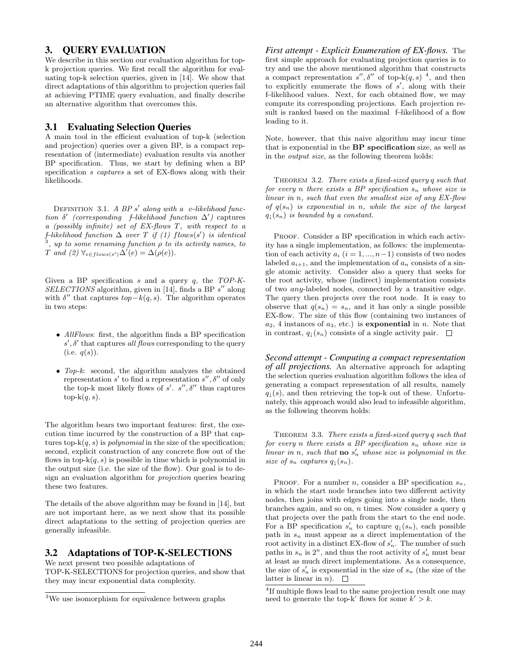# 3. QUERY EVALUATION

We describe in this section our evaluation algorithm for topk projection queries. We first recall the algorithm for evaluating top-k selection queries, given in [14]. We show that direct adaptations of this algorithm to projection queries fail at achieving PTIME query evaluation, and finally describe an alternative algorithm that overcomes this.

## 3.1 Evaluating Selection Queries

A main tool in the efficient evaluation of top-k (selection and projection) queries over a given BP, is a compact representation of (intermediate) evaluation results via another BP specification. Thus, we start by defining when a BP specification s captures a set of EX-flows along with their likelihoods.

DEFINITION 3.1. A BP s' along with a c−likelihood function  $\delta'$  (corresponding f–likelihood function  $\Delta'$ ) captures a (possibly infinite) set of EX-flows T, with respect to a f–likelihood function  $\Delta$  over T if (1) flows(s') is identical<br><sup>3</sup> and to some renoming function a to its activity names, to , up to some renaming function  $\rho$  to its activity names, to T and  $(2) \ \forall_{e \in flows(s')} \Delta'(e) = \Delta(\rho(e)).$ 

Given a BP specification  $s$  and a query  $q$ , the TOP-K- $SELECTIONS$  algorithm, given in [14], finds a BP  $s''$  along with  $\delta''$  that captures  $top-k(q, s)$ . The algorithm operates in two steps:

- AllFlows: first, the algorithm finds a BP specification  $s'$ ,  $\delta'$  that captures all flows corresponding to the query  $(i.e. q(s)).$
- Top-k: second, the algorithm analyzes the obtained representation  $s'$  to find a representation  $s'', \delta''$  of only the top-k most likely flows of  $s'$ .  $s''$ ,  $\delta''$  thus captures top- $k(q, s)$ .

The algorithm bears two important features: first, the execution time incurred by the construction of a BP that captures top- $k(q, s)$  is *polynomial* in the size of the specification; second, explicit construction of any concrete flow out of the flows in top- $k(q, s)$  is possible in time which is polynomial in the output size (i.e. the size of the flow). Our goal is to design an evaluation algorithm for projection queries bearing these two features.

The details of the above algorithm may be found in [14], but are not important here, as we next show that its possible direct adaptations to the setting of projection queries are generally infeasible.

## 3.2 Adaptations of TOP-K-SELECTIONS

We next present two possible adaptations of TOP-K-SELECTIONS for projection queries, and show that they may incur exponential data complexity.

*First attempt - Explicit Enumeration of EX-flows.* The first simple approach for evaluating projection queries is to try and use the above mentioned algorithm that constructs a compact representation  $s''$ ,  $\delta''$  of top-k(q, s)<sup>4</sup>, and then to explicitly enumerate the flows of  $s'$ , along with their f−likelihood values. Next, for each obtained flow, we may compute its corresponding projections. Each projection result is ranked based on the maximal f–likelihood of a flow leading to it.

Note, however, that this naive algorithm may incur time that is exponential in the BP specification size, as well as in the output size, as the following theorem holds:

THEOREM 3.2. There exists a fixed-sized query  $q$  such that for every n there exists a BP specification  $s_n$  whose size is linear in n, such that even the smallest size of any EX-flow of  $q(s_n)$  is exponential in n, while the size of the largest  $q_{\perp}(s_n)$  is bounded by a constant.

PROOF. Consider a BP specification in which each activity has a single implementation, as follows: the implementation of each activity  $a_i$   $(i = 1, ..., n-1)$  consists of two nodes labeled  $a_{i+1}$ , and the implementation of  $a_n$  consists of a single atomic activity. Consider also a query that seeks for the root activity, whose (indirect) implementation consists of two any-labeled nodes, connected by a transitive edge. The query then projects over the root node. It is easy to observe that  $q(s_n) = s_n$ , and it has only a single possible EX-flow. The size of this flow (containing two instances of  $a_2$ , 4 instances of  $a_3$ , etc.) is **exponential** in *n*. Note that in contrast,  $q_{\perp}(s_n)$  consists of a single activity pair.  $\Box$ 

*Second attempt - Computing a compact representation of all projections.* An alternative approach for adapting the selection queries evaluation algorithm follows the idea of generating a compact representation of all results, namely  $q_{\downarrow}(s)$ , and then retrieving the top-k out of these. Unfortunately, this approach would also lead to infeasible algorithm, as the following theorem holds:

THEOREM 3.3. There exists a fixed-sized query q such that for every n there exists a BP specification  $s_n$  whose size is linear in n, such that **no**  $s'_n$  whose size is polynomial in the size of  $s_n$  captures  $q_{\downarrow}(s_n)$ .

PROOF. For a number *n*, consider a BP specification  $s_n$ , in which the start node branches into two different activity nodes, then joins with edges going into a single node, then branches again, and so on,  $n$  times. Now consider a query  $q$ that projects over the path from the start to the end node. For a BP specification  $s'_n$  to capture  $q_1(s_n)$ , each possible path in  $s_n$  must appear as a direct implementation of the root activity in a distinct EX-flow of  $s_n'$ . The number of such paths in  $s_n$  is  $2^n$ , and thus the root activity of  $s'_n$  must bear at least as much direct implementations. As a consequence, the size of  $s_n'$  is exponential in the size of  $s_n$  (the size of the latter is linear in  $n$ ).  $\Box$ 

<sup>3</sup>We use isomorphism for equivalence between graphs

<sup>&</sup>lt;sup>4</sup>If multiple flows lead to the same projection result one may need to generate the top-k' flows for some  $k' > k$ .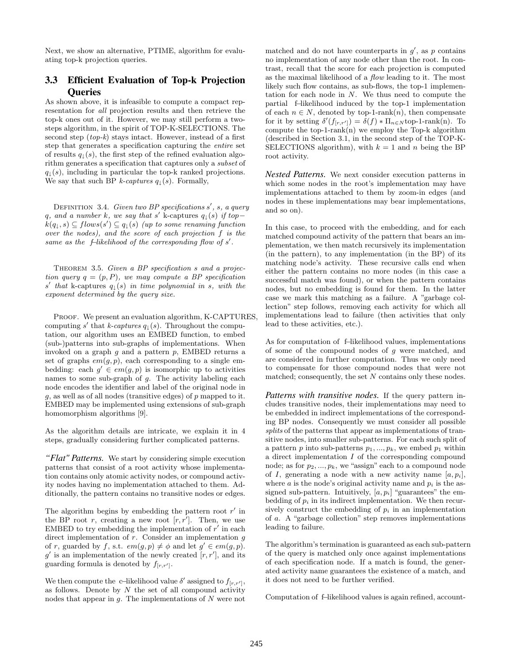Next, we show an alternative, PTIME, algorithm for evaluating top-k projection queries.

# 3.3 Efficient Evaluation of Top-k Projection **Oueries**

As shown above, it is infeasible to compute a compact representation for all projection results and then retrieve the top-k ones out of it. However, we may still perform a twosteps algorithm, in the spirit of TOP-K-SELECTIONS. The second step  $(top-k)$  stays intact. However, instead of a first step that generates a specification capturing the entire set of results  $q_{\perp}(s)$ , the first step of the refined evaluation algorithm generates a specification that captures only a subset of  $q_{\perp}(s)$ , including in particular the top-k ranked projections. We say that such BP k-captures  $q_{\perp}(s)$ . Formally,

DEFINITION 3.4. Given two BP specifications  $s'$ ,  $s$ ,  $a$  query q, and a number k, we say that s' k-captures  $q_{\downarrow}(s)$  if top $k(q_\downarrow, s) \subseteq flows(s') \subseteq q_\downarrow(s)$  (up to some renaming function over the nodes), and the score of each projection f is the same as the  $f$ –likelihood of the corresponding flow of s'.

THEOREM 3.5. Given a BP specification s and a projection query  $q = (p, P)$ , we may compute a BP specification s' that k-captures  $q_{\downarrow}(s)$  in time polynomial in s, with the exponent determined by the query size.

PROOF. We present an evaluation algorithm, K-CAPTURES, computing s' that k-captures  $q_{\downarrow}(s)$ . Throughout the computation, our algorithm uses an EMBED function, to embed (sub-)patterns into sub-graphs of implementations. When invoked on a graph  $q$  and a pattern  $p$ , EMBED returns a set of graphs  $em(g, p)$ , each corresponding to a single embedding: each  $g' \in em(g, p)$  is isomorphic up to activities names to some sub-graph of  $g$ . The activity labeling each node encodes the identifier and label of the original node in  $g$ , as well as of all nodes (transitive edges) of  $p$  mapped to it. EMBED may be implemented using extensions of sub-graph homomorphism algorithms [9].

As the algorithm details are intricate, we explain it in 4 steps, gradually considering further complicated patterns.

*"Flat" Patterns.* We start by considering simple execution patterns that consist of a root activity whose implementation contains only atomic activity nodes, or compound activity nodes having no implementation attached to them. Additionally, the pattern contains no transitive nodes or edges.

The algorithm begins by embedding the pattern root  $r'$  in the BP root r, creating a new root  $[r, r']$ . Then, we use EMBED to try embedding the implementation of  $r'$  in each direct implementation of  $r$ . Consider an implementation  $q$ of r, guarded by f, s.t.  $em(g, p) \neq \phi$  and let  $g' \in em(g, p)$ .  $g'$  is an implementation of the newly created  $[r, r']$ , and its guarding formula is denoted by  $f_{[r,r']}.$ 

We then compute the c–likelihood value  $\delta'$  assigned to  $f_{[r,r']},$ as follows. Denote by  $N$  the set of all compound activity nodes that appear in  $q$ . The implementations of  $N$  were not

matched and do not have counterparts in  $g'$ , as p contains no implementation of any node other than the root. In contrast, recall that the score for each projection is computed as the maximal likelihood of a flow leading to it. The most likely such flow contains, as sub-flows, the top-1 implementation for each node in N. We thus need to compute the partial f−likelihood induced by the top-1 implementation of each  $n \in N$ , denoted by top-1-rank $(n)$ , then compensate for it by setting  $\delta'(f_{[r,r']}) = \delta(f) * \Pi_{n \in N}$  top-1-rank(n). To compute the top-1-rank $(n)$  we employ the Top-k algorithm (described in Section 3.1, in the second step of the TOP-K-SELECTIONS algorithm), with  $k = 1$  and n being the BP root activity.

*Nested Patterns.* We next consider execution patterns in which some nodes in the root's implementation may have implementations attached to them by zoom-in edges (and nodes in these implementations may bear implementations, and so on).

In this case, to proceed with the embedding, and for each matched compound activity of the pattern that bears an implementation, we then match recursively its implementation (in the pattern), to any implementation (in the BP) of its matching node's activity. These recursive calls end when either the pattern contains no more nodes (in this case a successful match was found), or when the pattern contains nodes, but no embedding is found for them. In the latter case we mark this matching as a failure. A "garbage collection" step follows, removing each activity for which all implementations lead to failure (then activities that only lead to these activities, etc.).

As for computation of f–likelihood values, implementations of some of the compound nodes of g were matched, and are considered in further computation. Thus we only need to compensate for those compound nodes that were not matched; consequently, the set N contains only these nodes.

*Patterns with transitive nodes.* If the query pattern includes transitive nodes, their implementations may need to be embedded in indirect implementations of the corresponding BP nodes. Consequently we must consider all possible splits of the patterns that appear as implementations of transitive nodes, into smaller sub-patterns. For each such split of a pattern p into sub-patterns  $p_1, ..., p_k$ , we embed  $p_1$  within a direct implementation I of the corresponding compound node; as for  $p_2, ..., p_k$ , we "assign" each to a compound node of I, generating a node with a new activity name  $[a, p_i]$ , where a is the node's original activity name and  $p_i$  is the assigned sub-pattern. Intuitively,  $[a, p_i]$  "guarantees" the embedding of  $p_i$  in its indirect implementation. We then recursively construct the embedding of  $p_i$  in an implementation of a. A "garbage collection" step removes implementations leading to failure.

The algorithm's termination is guaranteed as each sub-pattern of the query is matched only once against implementations of each specification node. If a match is found, the generated activity name guarantees the existence of a match, and it does not need to be further verified.

Computation of f−likelihood values is again refined, account-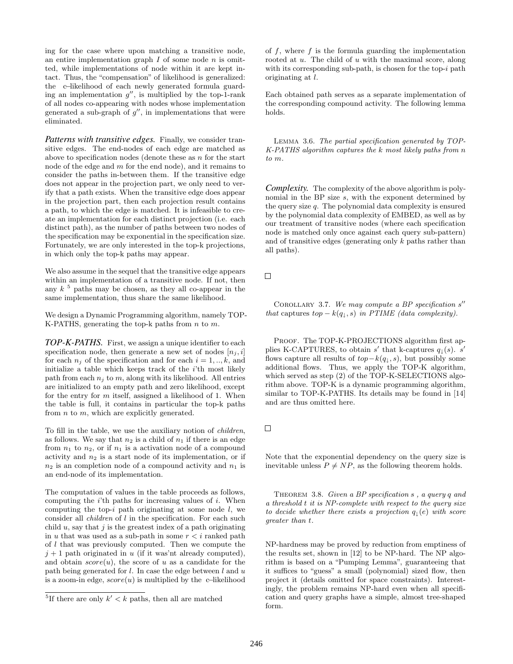ing for the case where upon matching a transitive node, an entire implementation graph  $I$  of some node  $n$  is omitted, while implementations of node within it are kept intact. Thus, the "compensation" of likelihood is generalized: the c−likelihood of each newly generated formula guarding an implementation  $g''$ , is multiplied by the top-1-rank of all nodes co-appearing with nodes whose implementation generated a sub-graph of  $g''$ , in implementations that were eliminated.

*Patterns with transitive edges.* Finally, we consider transitive edges. The end-nodes of each edge are matched as above to specification nodes (denote these as  $n$  for the start node of the edge and  $m$  for the end node), and it remains to consider the paths in-between them. If the transitive edge does not appear in the projection part, we only need to verify that a path exists. When the transitive edge does appear in the projection part, then each projection result contains a path, to which the edge is matched. It is infeasible to create an implementation for each distinct projection (i.e. each distinct path), as the number of paths between two nodes of the specification may be exponential in the specification size. Fortunately, we are only interested in the top-k projections, in which only the top-k paths may appear.

We also assume in the sequel that the transitive edge appears within an implementation of a transitive node. If not, then any  $k<sup>5</sup>$  paths may be chosen, as they all co-appear in the same implementation, thus share the same likelihood.

We design a Dynamic Programming algorithm, namely TOP-K-PATHS, generating the top-k paths from  $n$  to  $m$ .

*TOP-K-PATHS.* First, we assign a unique identifier to each specification node, then generate a new set of nodes  $[n_i, i]$ for each  $n_i$  of the specification and for each  $i = 1, ..., k$ , and initialize a table which keeps track of the  $i$ 'th most likely path from each  $n_i$  to m, along with its likelihood. All entries are initialized to an empty path and zero likelihood, except for the entry for  $m$  itself, assigned a likelihood of 1. When the table is full, it contains in particular the top-k paths from  $n$  to  $m$ , which are explicitly generated.

To fill in the table, we use the auxiliary notion of children, as follows. We say that  $n_2$  is a child of  $n_1$  if there is an edge from  $n_1$  to  $n_2$ , or if  $n_1$  is a activation node of a compound activity and  $n_2$  is a start node of its implementation, or if  $n_2$  is an completion node of a compound activity and  $n_1$  is an end-node of its implementation.

The computation of values in the table proceeds as follows, computing the  $i$ <sup>th</sup> paths for increasing values of  $i$ . When computing the top-i path originating at some node  $l$ , we consider all children of l in the specification. For each such child  $u$ , say that  $j$  is the greatest index of a path originating in u that was used as a sub-path in some  $r < i$  ranked path of l that was previously computed. Then we compute the  $j + 1$  path originated in u (if it was'nt already computed), and obtain  $score(u)$ , the score of u as a candidate for the path being generated for  $l$ . In case the edge between  $l$  and  $u$ is a zoom-in edge,  $score(u)$  is multiplied by the c−likelihood

of  $f$ , where  $f$  is the formula guarding the implementation rooted at u. The child of u with the maximal score, along with its corresponding sub-path, is chosen for the top- $i$  path originating at l.

Each obtained path serves as a separate implementation of the corresponding compound activity. The following lemma holds.

Lemma 3.6. The partial specification generated by TOP-K-PATHS algorithm captures the k most likely paths from n to m.

*Complexity.* The complexity of the above algorithm is polynomial in the BP size s, with the exponent determined by the query size  $q$ . The polynomial data complexity is ensured by the polynomial data complexity of EMBED, as well as by our treatment of transitive nodes (where each specification node is matched only once against each query sub-pattern) and of transitive edges (generating only k paths rather than all paths).

 $\Box$ 

COROLLARY 3.7. We may compute a BP specification  $s''$ that captures  $top - k(q_{\perp}, s)$  in PTIME (data complexity).

PROOF. The TOP-K-PROJECTIONS algorithm first applies K-CAPTURES, to obtain s' that k-captures  $q_{\downarrow}(s)$ . s' flows capture all results of  $top-k(q_{\perp}, s)$ , but possibly some additional flows. Thus, we apply the TOP-K algorithm, which served as step (2) of the TOP-K-SELECTIONS algorithm above. TOP-K is a dynamic programming algorithm, similar to TOP-K-PATHS. Its details may be found in [14] and are thus omitted here.

Note that the exponential dependency on the query size is inevitable unless  $P \neq NP$ , as the following theorem holds.

THEOREM 3.8. Given a BP specification s, a query q and a threshold t it is NP-complete with respect to the query size to decide whether there exists a projection  $q_{\perp}(e)$  with score greater than t.

NP-hardness may be proved by reduction from emptiness of the results set, shown in [12] to be NP-hard. The NP algorithm is based on a "Pumping Lemma", guaranteeing that it suffices to "guess" a small (polynomial) sized flow, then project it (details omitted for space constraints). Interestingly, the problem remains NP-hard even when all specification and query graphs have a simple, almost tree-shaped form.

<sup>&</sup>lt;sup>5</sup>If there are only  $k' < k$  paths, then all are matched

 $\Box$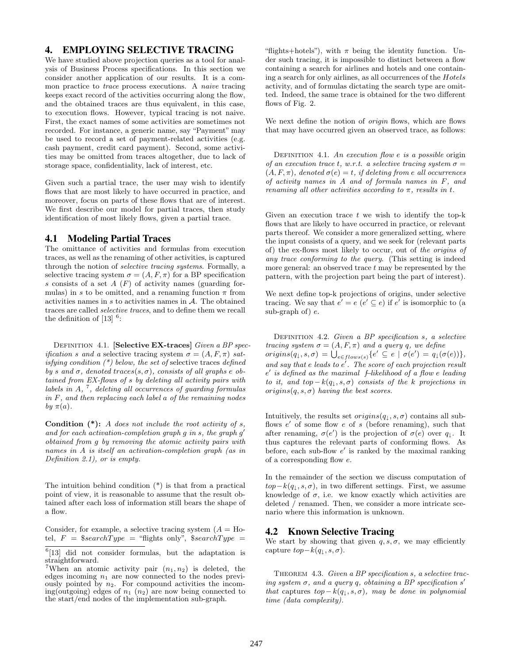## 4. EMPLOYING SELECTIVE TRACING

We have studied above projection queries as a tool for analysis of Business Process specifications. In this section we consider another application of our results. It is a common practice to trace process executions. A naive tracing keeps exact record of the activities occurring along the flow, and the obtained traces are thus equivalent, in this case, to execution flows. However, typical tracing is not naive. First, the exact names of some activities are sometimes not recorded. For instance, a generic name, say "Payment" may be used to record a set of payment-related activities (e.g. cash payment, credit card payment). Second, some activities may be omitted from traces altogether, due to lack of storage space, confidentiality, lack of interest, etc.

Given such a partial trace, the user may wish to identify flows that are most likely to have occurred in practice, and moreover, focus on parts of these flows that are of interest. We first describe our model for partial traces, then study identification of most likely flows, given a partial trace.

#### 4.1 Modeling Partial Traces

The omittance of activities and formulas from execution traces, as well as the renaming of other activities, is captured through the notion of selective tracing systems. Formally, a selective tracing system  $\sigma = (A, F, \pi)$  for a BP specification s consists of a set  $A(F)$  of activity names (guarding formulas) in s to be omitted, and a renaming function  $\pi$  from activities names in  $s$  to activities names in  $A$ . The obtained traces are called selective traces, and to define them we recall the definition of  $[13]$ <sup>6</sup>:

DEFINITION 4.1. [Selective EX-traces] Given a BP spec*ification s and a* selective tracing system  $\sigma = (A, F, \pi)$  satisfying condition  $(*)$  below, the set of selective traces defined by s and  $\sigma$ , denoted traces(s,  $\sigma$ ), consists of all graphs e obtained from EX-flows of s by deleting all activity pairs with labels in  $A$ ,  $^7$ , deleting all occurrences of guarding formulas in F, and then replacing each label a of the remaining nodes by  $\pi(a)$ .

**Condition**  $(*)$ : A does not include the root activity of s, and for each activation-completion graph  $g$  in  $s$ , the graph  $g'$ obtained from g by removing the atomic activity pairs with names in A is itself an activation-completion graph (as in Definition 2.1), or is empty.

The intuition behind condition (\*) is that from a practical point of view, it is reasonable to assume that the result obtained after each loss of information still bears the shape of a flow.

Consider, for example, a selective tracing system  $(A = Ho$ tel,  $F =$  \$searchType = "flights only", \$searchType =

"flights+hotels"), with  $\pi$  being the identity function. Under such tracing, it is impossible to distinct between a flow containing a search for airlines and hotels and one containing a search for only airlines, as all occurrences of the Hotels activity, and of formulas dictating the search type are omitted. Indeed, the same trace is obtained for the two different flows of Fig. 2.

We next define the notion of origin flows, which are flows that may have occurred given an observed trace, as follows:

DEFINITION 4.1. An execution flow e is a possible origin of an execution trace t, w.r.t. a selective tracing system  $\sigma =$  $(A, F, \pi)$ , denoted  $\sigma(e) = t$ , if deleting from e all occurrences of activity names in A and of formula names in F, and renaming all other activities according to  $\pi$ , results in t.

Given an execution trace  $t$  we wish to identify the top-k flows that are likely to have occurred in practice, or relevant parts thereof. We consider a more generalized setting, where the input consists of a query, and we seek for (relevant parts of) the ex-flows most likely to occur, out of the origins of any trace conforming to the query. (This setting is indeed more general: an observed trace  $t$  may be represented by the pattern, with the projection part being the part of interest).

We next define top-k projections of origins, under selective tracing. We say that  $e' = e \ (e' \subseteq e)$  if  $e'$  is isomorphic to (a sub-graph of)  $e$ .

DEFINITION 4.2. Given a BP specification s, a selective tracing system  $\sigma = (A, F, \pi)$  and a query q, we define  $origin(s(q_1, s, \sigma)) = \bigcup_{e \in flows(s)} \{e' \subseteq e \mid \sigma(e') = q_1(\sigma(e))\},\$ and say that  $e$  leads to  $e'$ . The score of each projection result e' is defined as the maximal f–likelihood of a flow e leading to it, and top  $-k(q_1, s, \sigma)$  consists of the k projections in origins $(q, s, \sigma)$  having the best scores.

Intuitively, the results set  $origin(s(q), s, \sigma)$  contains all subflows  $e'$  of some flow e of s (before renaming), such that after renaming,  $\sigma(e')$  is the projection of  $\sigma(e)$  over  $q_{\downarrow}$ . It thus captures the relevant parts of conforming flows. As before, each sub-flow  $e'$  is ranked by the maximal ranking of a corresponding flow e.

In the remainder of the section we discuss computation of  $top-k(q_1, s, \sigma)$ , in two different settings. First, we assume knowledge of  $\sigma$ , i.e. we know exactly which activities are deleted / renamed. Then, we consider a more intricate scenario where this information is unknown.

#### 4.2 Known Selective Tracing

We start by showing that given  $q, s, \sigma$ , we may efficiently capture  $top-k(q_{\perp}, s, \sigma)$ .

THEOREM 4.3. Given a BP specification s, a selective tracing system  $\sigma$ , and a query q, obtaining a BP specification s' that captures  $top - k(q_{\perp}, s, \sigma)$ , may be done in polynomial time (data complexity).

<sup>&</sup>lt;sup>6</sup>[13] did not consider formulas, but the adaptation is straightforward.

<sup>&</sup>lt;sup>7</sup>When an atomic activity pair  $(n_1, n_2)$  is deleted, the edges incoming  $n_1$  are now connected to the nodes previously pointed by  $n_2$ . For compound activities the incoming(outgoing) edges of  $n_1$   $(n_2)$  are now being connected to the start/end nodes of the implementation sub-graph.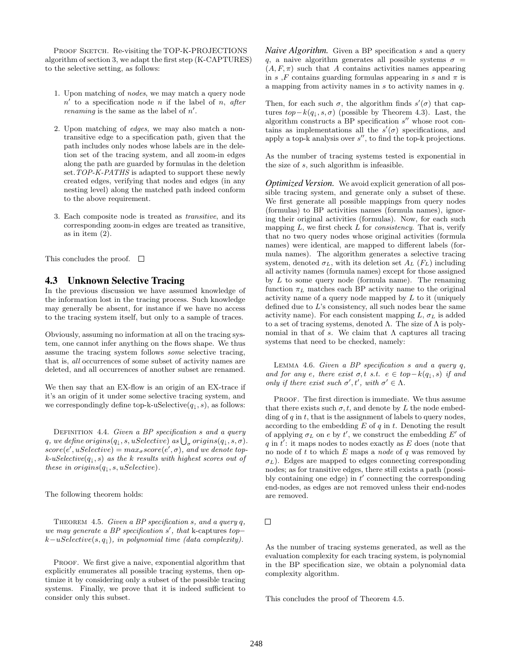PROOF SKETCH. Re-visiting the TOP-K-PROJECTIONS algorithm of section 3, we adapt the first step (K-CAPTURES) to the selective setting, as follows:

- 1. Upon matching of nodes, we may match a query node  $n'$  to a specification node n if the label of n, after *renaming* is the same as the label of  $n'$ .
- 2. Upon matching of edges, we may also match a nontransitive edge to a specification path, given that the path includes only nodes whose labels are in the deletion set of the tracing system, and all zoom-in edges along the path are guarded by formulas in the deletion set. TOP-K-PATHS is adapted to support these newly created edges, verifying that nodes and edges (in any nesting level) along the matched path indeed conform to the above requirement.
- 3. Each composite node is treated as transitive, and its corresponding zoom-in edges are treated as transitive, as in item (2).

This concludes the proof.  $\square$ 

## 4.3 Unknown Selective Tracing

In the previous discussion we have assumed knowledge of the information lost in the tracing process. Such knowledge may generally be absent, for instance if we have no access to the tracing system itself, but only to a sample of traces.

Obviously, assuming no information at all on the tracing system, one cannot infer anything on the flows shape. We thus assume the tracing system follows some selective tracing, that is, all occurrences of some subset of activity names are deleted, and all occurrences of another subset are renamed.

We then say that an EX-flow is an origin of an EX-trace if it's an origin of it under some selective tracing system, and we correspondingly define top-k-uSelective $(q_{\perp}, s)$ , as follows:

DEFINITION 4.4. Given a BP specification s and a query q, we define  $origin(s(q_\downarrow,s,uSelective)$  as  $\bigcup_{\sigma} origins(q_\downarrow,s,\sigma)$ .  $score(e', uSelective) = max_{\sigma} score(e', \sigma)$ , and we denote top $k$ -uSelective $(q_{\downarrow}, s)$  as the k results with highest scores out of these in origins $(q_{\perp}, s, uSelective)$ .

The following theorem holds:

THEOREM 4.5. Given a BP specification s, and a query  $q$ , we may generate a BP specification  $s'$ , that k-captures top $k-uSelective(s, q_{\perp}),$  in polynomial time (data complexity).

PROOF. We first give a naive, exponential algorithm that explicitly enumerates all possible tracing systems, then optimize it by considering only a subset of the possible tracing systems. Finally, we prove that it is indeed sufficient to consider only this subset.

*Naive Algorithm.* Given a BP specification s and a query q, a naive algorithm generates all possible systems  $\sigma =$  $(A, F, \pi)$  such that A contains activities names appearing in s, F contains guarding formulas appearing in s and  $\pi$  is a mapping from activity names in  $s$  to activity names in  $q$ .

Then, for each such  $\sigma$ , the algorithm finds  $s'(\sigma)$  that captures  $top-k(q_{\perp}, s, \sigma)$  (possible by Theorem 4.3). Last, the algorithm constructs a BP specification  $s''$  whose root contains as implementations all the  $s'(\sigma)$  specifications, and apply a top-k analysis over  $s''$ , to find the top-k projections.

As the number of tracing systems tested is exponential in the size of s, such algorithm is infeasible.

*Optimized Version.* We avoid explicit generation of all possible tracing system, and generate only a subset of these. We first generate all possible mappings from query nodes (formulas) to BP activities names (formula names), ignoring their original activities (formulas). Now, for each such mapping  $L$ , we first check  $L$  for *consistency*. That is, verify that no two query nodes whose original activities (formula names) were identical, are mapped to different labels (formula names). The algorithm generates a selective tracing system, denoted  $\sigma_L$ , with its deletion set  $A_L$  ( $F_L$ ) including all activity names (formula names) except for those assigned by  $L$  to some query node (formula name). The renaming function  $\pi_L$  matches each BP activity name to the original activity name of a query node mapped by L to it (uniquely defined due to  $L$ 's consistency, all such nodes bear the same activity name). For each consistent mapping  $L, \sigma_L$  is added to a set of tracing systems, denoted  $\Lambda$ . The size of  $\Lambda$  is polynomial in that of s. We claim that  $\Lambda$  captures all tracing systems that need to be checked, namely:

LEMMA 4.6. Given a BP specification  $s$  and a query  $q$ , and for any e, there exist  $\sigma, t$  s.t.  $e \in top-k(q_\perp, s)$  if and only if there exist such  $\sigma', t'$ , with  $\sigma' \in \Lambda$ .

PROOF. The first direction is immediate. We thus assume that there exists such  $\sigma, t$ , and denote by L the node embedding of  $q$  in  $t$ , that is the assignment of labels to query nodes, according to the embedding  $E$  of  $q$  in  $t$ . Denoting the result of applying  $\sigma_L$  on e by t', we construct the embedding  $E'$  of  $q$  in  $t'$ : it maps nodes to nodes exactly as  $E$  does (note that no node of  $t$  to which  $E$  maps a node of  $q$  was removed by  $\sigma_L$ ). Edges are mapped to edges connecting corresponding nodes; as for transitive edges, there still exists a path (possibly containing one edge) in  $t'$  connecting the corresponding end-nodes, as edges are not removed unless their end-nodes are removed.

 $\Box$ 

As the number of tracing systems generated, as well as the evaluation complexity for each tracing system, is polynomial in the BP specification size, we obtain a polynomial data complexity algorithm.

This concludes the proof of Theorem 4.5.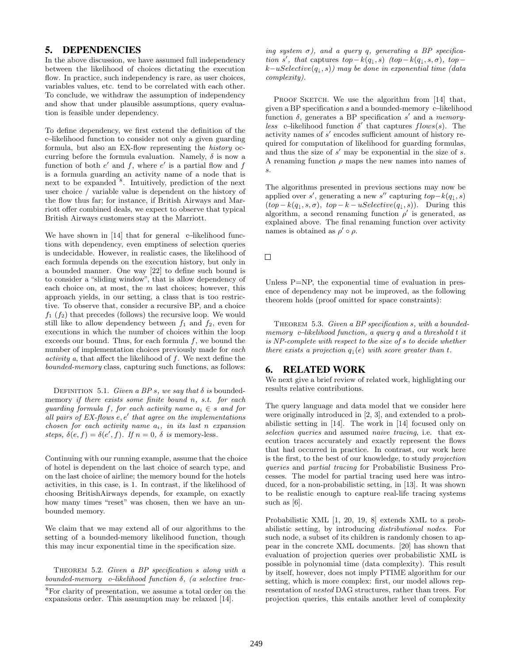## 5. DEPENDENCIES

In the above discussion, we have assumed full independency between the likelihood of choices dictating the execution flow. In practice, such independency is rare, as user choices, variables values, etc. tend to be correlated with each other. To conclude, we withdraw the assumption of independency and show that under plausible assumptions, query evaluation is feasible under dependency.

To define dependency, we first extend the definition of the c−likelihood function to consider not only a given guarding formula, but also an EX-flow representing the history occurring before the formula evaluation. Namely,  $\delta$  is now a function of both  $e'$  and  $f$ , where  $e'$  is a partial flow and  $f$ is a formula guarding an activity name of a node that is next to be expanded <sup>8</sup>. Intuitively, prediction of the next user choice / variable value is dependent on the history of the flow thus far; for instance, if British Airways and Marriott offer combined deals, we expect to observe that typical British Airways customers stay at the Marriott.

We have shown in [14] that for general c−likelihood functions with dependency, even emptiness of selection queries is undecidable. However, in realistic cases, the likelihood of each formula depends on the execution history, but only in a bounded manner. One way [22] to define such bound is to consider a "sliding window", that is allow dependency of each choice on, at most, the  $m$  last choices; however, this approach yields, in our setting, a class that is too restrictive. To observe that, consider a recursive BP, and a choice  $f_1$  ( $f_2$ ) that precedes (follows) the recursive loop. We would still like to allow dependency between  $f_1$  and  $f_2$ , even for executions in which the number of choices within the loop exceeds our bound. Thus, for each formula  $f$ , we bound the number of implementation choices previously made for each  $activity\ a, that affect the likelihood of\ f. We next define the$ bounded-memory class, capturing such functions, as follows:

DEFINITION 5.1. Given a BP s, we say that  $\delta$  is boundedmemory if there exists some finite bound n, s.t. for each guarding formula f, for each activity name  $a_i \in s$  and for all pairs of  $EX$ -flows  $e, e'$  that agree on the implementations chosen for each activity name  $a_i$ , in its last n expansion steps,  $\delta(e, f) = \delta(e', f)$ . If  $n = 0$ ,  $\delta$  is memory-less.

Continuing with our running example, assume that the choice of hotel is dependent on the last choice of search type, and on the last choice of airline; the memory bound for the hotels activities, in this case, is 1. In contrast, if the likelihood of choosing BritishAirways depends, for example, on exactly how many times "reset" was chosen, then we have an unbounded memory.

We claim that we may extend all of our algorithms to the setting of a bounded-memory likelihood function, though this may incur exponential time in the specification size.

THEOREM 5.2. Given a BP specification s along with a bounded-memory c−likelihood function δ, (a selective trac-

ing system  $\sigma$ ), and a query q, generating a BP specification s', that captures  $top-k(q_{\downarrow}, s)$  (top-k(q<sub>\ti</sub>, s,  $\sigma$ ), top $k-uSelective(q_{\downarrow}, s))$  may be done in exponential time (data complexity).

PROOF SKETCH. We use the algorithm from [14] that, given a BP specification s and a bounded-memory c−likelihood function  $\delta$ , generates a BP specification s' and a memoryless c–likelihood function  $\delta'$  that captures flows(s). The activity names of  $s'$  encodes sufficient amount of history required for computation of likelihood for guarding formulas, and thus the size of  $s'$  may be exponential in the size of  $s$ . A renaming function  $\rho$  maps the new names into names of s.

The algorithms presented in previous sections may now be applied over s', generating a new s" capturing  $top-k(q_{\downarrow}, s)$  $(top - k(q_1, s, \sigma), top - k - uSelective(q_1, s)).$  During this algorithm, a second renaming function  $\rho'$  is generated, as explained above. The final renaming function over activity names is obtained as  $\rho' \circ \rho$ .

 $\Box$ 

Unless P=NP, the exponential time of evaluation in presence of dependency may not be improved, as the following theorem holds (proof omitted for space constraints):

THEOREM 5.3. Given a BP specification s, with a boundedmemory c−likelihood function, a query q and a threshold t it is NP-complete with respect to the size of s to decide whether there exists a projection  $q_{\perp}(e)$  with score greater than t.

# 6. RELATED WORK

We next give a brief review of related work, highlighting our results relative contributions.

The query language and data model that we consider here were originally introduced in [2, 3], and extended to a probabilistic setting in [14]. The work in [14] focused only on selection queries and assumed naive tracing, i.e. that execution traces accurately and exactly represent the flows that had occurred in practice. In contrast, our work here is the first, to the best of our knowledge, to study projection queries and partial tracing for Probabilistic Business Processes. The model for partial tracing used here was introduced, for a non-probabilistic setting, in [13]. It was shown to be realistic enough to capture real-life tracing systems such as [6].

Probabilistic XML [1, 20, 19, 8] extends XML to a probabilistic setting, by introducing distributional nodes. For such node, a subset of its children is randomly chosen to appear in the concrete XML documents. [20] has shown that evaluation of projection queries over probabilistic XML is possible in polynomial time (data complexity). This result by itself, however, does not imply PTIME algorithm for our setting, which is more complex: first, our model allows representation of nested DAG structures, rather than trees. For projection queries, this entails another level of complexity

<sup>8</sup>For clarity of presentation, we assume a total order on the expansions order. This assumption may be relaxed [14].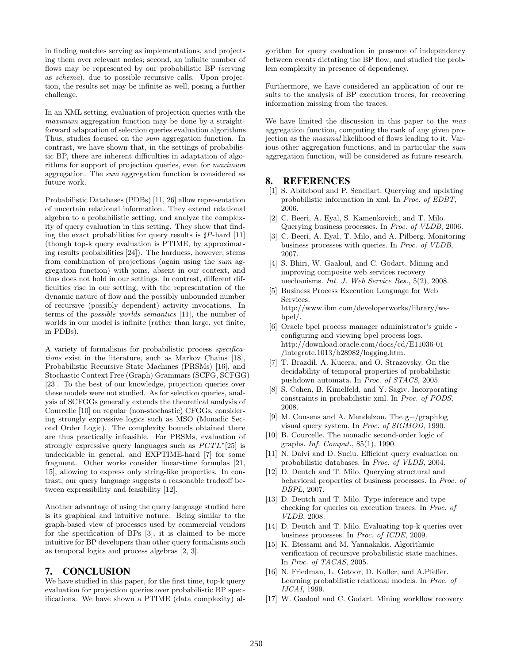in finding matches serving as implementations, and projecting them over relevant nodes; second, an infinite number of flows may be represented by our probabilistic BP (serving as schema), due to possible recursive calls. Upon projection, the results set may be infinite as well, posing a further challenge.

In an XML setting, evaluation of projection queries with the maximum aggregation function may be done by a straightforward adaptation of selection queries evaluation algorithms. Thus, studies focused on the sum aggregation function. In contrast, we have shown that, in the settings of probabilistic BP, there are inherent difficulties in adaptation of algorithms for support of projection queries, even for maximum aggregation. The sum aggregation function is considered as future work.

Probabilistic Databases (PDBs) [11, 26] allow representation of uncertain relational information. They extend relational algebra to a probabilistic setting, and analyze the complexity of query evaluation in this setting. They show that finding the exact probabilities for query results is  $\sharp P$ -hard [11] (though top-k query evaluation is PTIME, by approximating results probabilities [24]). The hardness, however, stems from combination of projections (again using the sum aggregation function) with joins, absent in our context, and thus does not hold in our settings. In contrast, different difficulties rise in our setting, with the representation of the dynamic nature of flow and the possibly unbounded number of recursive (possibly dependent) activity invocations. In terms of the possible worlds semantics [11], the number of worlds in our model is infinite (rather than large, yet finite, in PDBs).

A variety of formalisms for probabilistic process specifications exist in the literature, such as Markov Chains [18], Probabilistic Recursive State Machines (PRSMs) [16], and Stochastic Context Free (Graph) Grammars (SCFG, SCFGG) [23]. To the best of our knowledge, projection queries over these models were not studied. As for selection queries, analysis of SCFGGs generally extends the theoretical analysis of Courcelle [10] on regular (non-stochastic) CFGGs, considering strongly expressive logics such as MSO (Monadic Second Order Logic). The complexity bounds obtained there are thus practically infeasible. For PRSMs, evaluation of strongly expressive query languages such as  $PCTL^*[25]$  is undecidable in general, and EXPTIME-hard [7] for some fragment. Other works consider linear-time formulas [21, 15], allowing to express only string-like properties. In contrast, our query language suggests a reasonable tradeoff between expressibility and feasibility [12].

Another advantage of using the query language studied here is its graphical and intuitive nature. Being similar to the graph-based view of processes used by commercial vendors for the specification of BPs [3], it is claimed to be more intuitive for BP developers than other query formalisms such as temporal logics and process algebras [2, 3].

# 7. CONCLUSION

We have studied in this paper, for the first time, top-k query evaluation for projection queries over probabilistic BP specifications. We have shown a PTIME (data complexity) algorithm for query evaluation in presence of independency between events dictating the BP flow, and studied the problem complexity in presence of dependency.

Furthermore, we have considered an application of our results to the analysis of BP execution traces, for recovering information missing from the traces.

We have limited the discussion in this paper to the max aggregation function, computing the rank of any given projection as the maximal likelihood of flows leading to it. Various other aggregation functions, and in particular the sum aggregation function, will be considered as future research.

#### 8. REFERENCES

- [1] S. Abiteboul and P. Senellart. Querying and updating probabilistic information in xml. In Proc. of EDBT, 2006.
- [2] C. Beeri, A. Eyal, S. Kamenkovich, and T. Milo. Querying business processes. In Proc. of VLDB, 2006.
- [3] C. Beeri, A. Eyal, T. Milo, and A. Pilberg. Monitoring business processes with queries. In Proc. of VLDB, 2007.
- [4] S. Bhiri, W. Gaaloul, and C. Godart. Mining and improving composite web services recovery mechanisms. *Int. J. Web Service Res.*, 5(2), 2008.
- [5] Business Process Execution Language for Web Services. http://www.ibm.com/developerworks/library/wsbpel/.
- [6] Oracle bpel process manager administrator's guide configuring and viewing bpel process logs. http://download.oracle.com/docs/cd/E11036-01 /integrate.1013/b28982/logging.htm.
- [7] T. Brazdil, A. Kucera, and O. Strazovsky. On the decidability of temporal properties of probabilistic pushdown automata. In Proc. of STACS, 2005.
- [8] S. Cohen, B. Kimelfeld, and Y. Sagiv. Incorporating constraints in probabilistic xml. In Proc. of PODS, 2008.
- [9] M. Consens and A. Mendelzon. The g+/graphlog visual query system. In Proc. of SIGMOD, 1990.
- [10] B. Courcelle. The monadic second-order logic of graphs. Inf. Comput., 85(1), 1990.
- [11] N. Dalvi and D. Suciu. Efficient query evaluation on probabilistic databases. In Proc. of VLDB, 2004.
- [12] D. Deutch and T. Milo. Querying structural and behavioral properties of business processes. In Proc. of DBPL, 2007.
- [13] D. Deutch and T. Milo. Type inference and type checking for queries on execution traces. In Proc. of VLDB, 2008.
- [14] D. Deutch and T. Milo. Evaluating top-k queries over business processes. In Proc. of ICDE, 2009.
- [15] K. Etessami and M. Yannakakis. Algorithmic verification of recursive probabilistic state machines. In Proc. of TACAS, 2005.
- [16] N. Friedman, L. Getoor, D. Koller, and A. Pfeffer. Learning probabilistic relational models. In Proc. of IJCAI, 1999.
- [17] W. Gaaloul and C. Godart. Mining workflow recovery